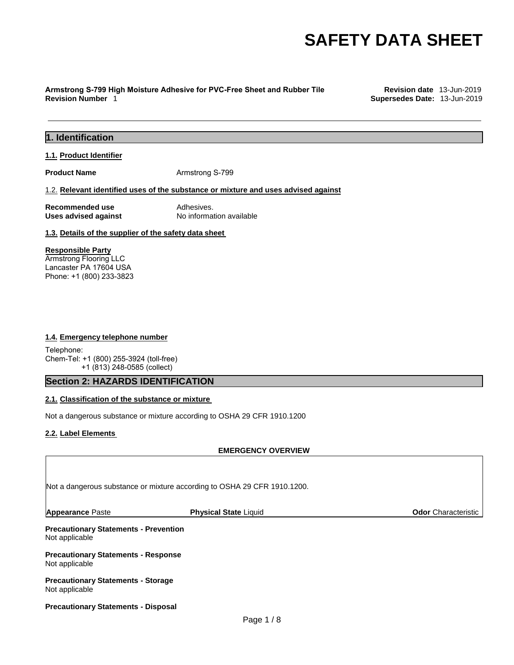# **Armstrong S-799 High Moisture Adhesive for PVC-Free Sheet and Rubber Tile Revision date** 13-Jun-2019

**Supersedes Date: 13-Jun-2019** 

# **1. Identification**

# **1.1. Product Identifier**

**Product Name Armstrong S-799** 

#### 1.2. **Relevant identified uses of the substance or mixture and uses advised against**

**Recommended use** Adhesives.

**Uses advised against** No information available

# **1.3. Details of the supplier of the safety data sheet**

# **Responsible Party**

Armstrong Flooring LLC Lancaster PA 17604 USA Phone: +1 (800) 233-3823

# **1.4. Emergency telephone number**

Telephone: Chem-Tel: +1 (800) 255-3924 (toll-free) +1 (813) 248-0585 (collect)

# **Section 2: HAZARDS IDENTIFICATION**

# **2.1. Classification of the substance or mixture**

Not a dangerous substance or mixture according to OSHA 29 CFR 1910.1200

# **2.2. Label Elements**

# **EMERGENCY OVERVIEW**

| Not a dangerous substance or mixture according to OSHA 29 CFR 1910.1200. |                                                                                                                                         |  |
|--------------------------------------------------------------------------|-----------------------------------------------------------------------------------------------------------------------------------------|--|
| <b>Physical State Liquid</b>                                             | <b>Odor</b> Characteristic                                                                                                              |  |
|                                                                          |                                                                                                                                         |  |
|                                                                          |                                                                                                                                         |  |
|                                                                          |                                                                                                                                         |  |
|                                                                          | <b>Precautionary Statements - Prevention</b><br><b>Precautionary Statements - Response</b><br><b>Precautionary Statements - Storage</b> |  |

#### **Precautionary Statements - Disposal**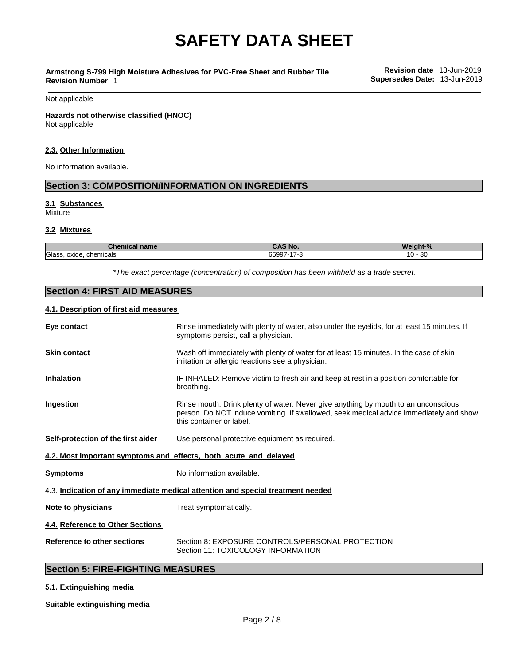#### **Armstrong S-799 High Moisture Adhesives for PVC-Free Sheet and Rubber Tile Revision Number** 1

Not applicable

**Hazards not otherwise classified (HNOC)** Not applicable

#### **2.3. Other Information**

No information available.

# **Section 3: COMPOSITION/INFORMATION ON INGREDIENTS**

# **3.1 Substances**

**Mixture** 

# **3.2 Mixtures**

| <b>BRAZ</b><br>name<br>ншсаг       | $\lambda$<br>Nc.                                                       | VAI.<br>$\mathbf{a}$                                |
|------------------------------------|------------------------------------------------------------------------|-----------------------------------------------------|
| Glass<br>oxide<br>. chemicals<br>. | ------<br>$\overline{\phantom{a}}$<br>זר<br>$\sim$<br>w<br>$\sim$<br>. | nr.<br>$\overline{ }$<br>۰υ۰<br>ັບບ<br>$\sim$<br>__ |

*\*The exact percentage (concentration) of composition has been withheld as a trade secret.*

# **Section 4: FIRST AID MEASURES**

# **4.1. Description of first aid measures**

| Eye contact                                                             | Rinse immediately with plenty of water, also under the eyelids, for at least 15 minutes. If<br>symptoms persist, call a physician.                                                                       |
|-------------------------------------------------------------------------|----------------------------------------------------------------------------------------------------------------------------------------------------------------------------------------------------------|
| <b>Skin contact</b>                                                     | Wash off immediately with plenty of water for at least 15 minutes. In the case of skin<br>irritation or allergic reactions see a physician.                                                              |
| <b>Inhalation</b>                                                       | IF INHALED: Remove victim to fresh air and keep at rest in a position comfortable for<br>breathing.                                                                                                      |
| Ingestion                                                               | Rinse mouth. Drink plenty of water. Never give anything by mouth to an unconscious<br>person. Do NOT induce vomiting. If swallowed, seek medical advice immediately and show<br>this container or label. |
| Self-protection of the first aider                                      | Use personal protective equipment as required.                                                                                                                                                           |
| <u>4.2. Most important symptoms and effects, both acute and delayed</u> |                                                                                                                                                                                                          |
| <b>Symptoms</b>                                                         | No information available.                                                                                                                                                                                |
|                                                                         | 4.3. Indication of any immediate medical attention and special treatment needed                                                                                                                          |
| Note to physicians                                                      | Treat symptomatically.                                                                                                                                                                                   |
| 4.4. Reference to Other Sections                                        |                                                                                                                                                                                                          |
| <b>Reference to other sections</b>                                      | Section 8: EXPOSURE CONTROLS/PERSONAL PROTECTION<br>Section 11: TOXICOLOGY INFORMATION                                                                                                                   |

# **Section 5: FIRE-FIGHTING MEASURES**

# **5.1. Extinguishing media**

**Suitable extinguishing media**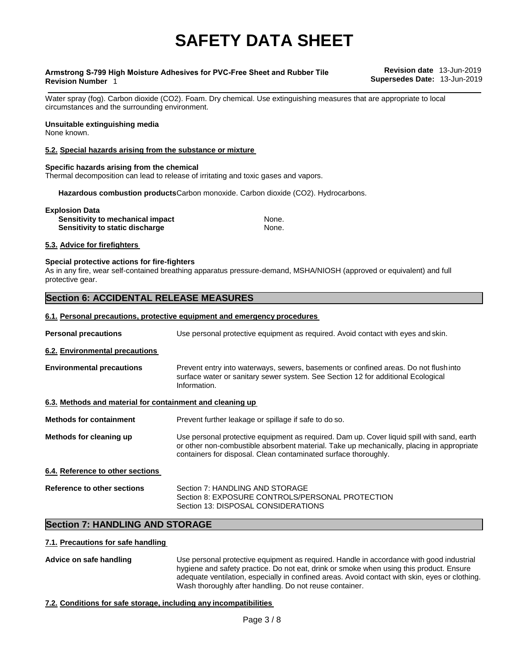#### **Armstrong S-799 High Moisture Adhesives for PVC-Free Sheet and Rubber Tile Revision Number** 1

**Revision date** 13-Jun-2019 **Supersedes Date:** 13-Jun-2019

Water spray (fog). Carbon dioxide (CO2). Foam. Dry chemical. Use extinguishing measures that are appropriate to local circumstances and the surrounding environment.

# **Unsuitable extinguishing media**

None known.

# **5.2. Special hazards arising from the substance or mixture**

# **Specific hazards arising from the chemical**

Thermal decomposition can lead to release of irritating and toxic gases and vapors.

**Hazardous combustion products**Carbon monoxide. Carbon dioxide (CO2). Hydrocarbons.

| <b>Explosion Data</b>                  |       |
|----------------------------------------|-------|
| Sensitivity to mechanical impact       | None. |
| <b>Sensitivity to static discharge</b> | None. |

# **5.3. Advice for firefighters**

# **Special protective actions for fire-fighters**

As in any fire, wear self-contained breathing apparatus pressure-demand, MSHA/NIOSH (approved or equivalent) and full protective gear.

# **Section 6: ACCIDENTAL RELEASE MEASURES**

# **6.1. Personal precautions, protective equipment and emergency procedures**

| <b>Personal precautions</b>                               | Use personal protective equipment as required. Avoid contact with eyes and skin.                                                                                                                                                                           |
|-----------------------------------------------------------|------------------------------------------------------------------------------------------------------------------------------------------------------------------------------------------------------------------------------------------------------------|
| 6.2. Environmental precautions                            |                                                                                                                                                                                                                                                            |
| <b>Environmental precautions</b>                          | Prevent entry into waterways, sewers, basements or confined areas. Do not flushinto<br>surface water or sanitary sewer system. See Section 12 for additional Ecological<br>Information.                                                                    |
| 6.3. Methods and material for containment and cleaning up |                                                                                                                                                                                                                                                            |
| <b>Methods for containment</b>                            | Prevent further leakage or spillage if safe to do so.                                                                                                                                                                                                      |
| Methods for cleaning up                                   | Use personal protective equipment as required. Dam up. Cover liquid spill with sand, earth<br>or other non-combustible absorbent material. Take up mechanically, placing in appropriate<br>containers for disposal. Clean contaminated surface thoroughly. |
| 6.4. Reference to other sections                          |                                                                                                                                                                                                                                                            |
| Reference to other sections                               | Section 7: HANDLING AND STORAGE<br>Section 8: EXPOSURE CONTROLS/PERSONAL PROTECTION<br>Section 13: DISPOSAL CONSIDERATIONS                                                                                                                                 |

# **Section 7: HANDLING AND STORAGE**

# **7.1. Precautions for safe handling**

**Advice on safe handling** Use personal protective equipment as required. Handle in accordance with good industrial hygiene and safety practice. Do not eat, drink or smoke when using this product. Ensure adequate ventilation, especially in confined areas. Avoid contact with skin, eyes or clothing. Wash thoroughly after handling. Do not reuse container.

# **7.2. Conditions for safe storage, including any incompatibilities**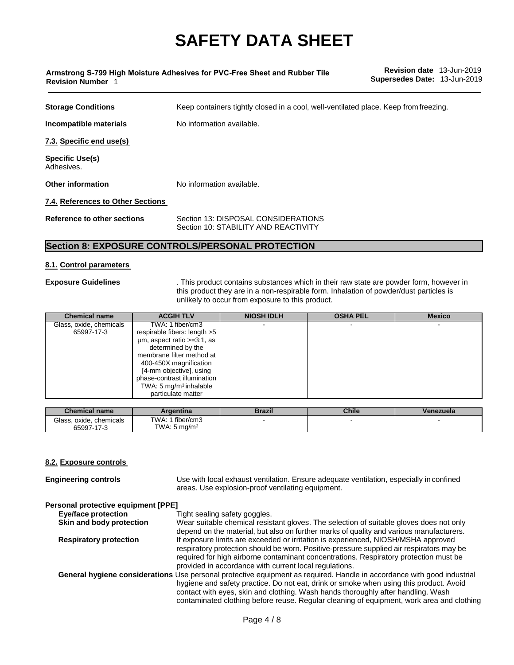| <b>Revision Number 1</b>             | Supersedes Date: 13-Jun-2019                                                         |
|--------------------------------------|--------------------------------------------------------------------------------------|
| <b>Storage Conditions</b>            | Keep containers tightly closed in a cool, well-ventilated place. Keep from freezing. |
| Incompatible materials               | No information available.                                                            |
| 7.3. Specific end use(s)             |                                                                                      |
| <b>Specific Use(s)</b><br>Adhesives. |                                                                                      |
| <b>Other information</b>             | No information available.                                                            |
| 7.4. References to Other Sections    |                                                                                      |
| Reference to other sections          | Section 13: DISPOSAL CONSIDERATIONS<br>Section 10: STABILITY AND REACTIVITY          |

# **Section 8: EXPOSURE CONTROLS/PERSONAL PROTECTION**

**Armstrong S-799 High Moisture Adhesives for PVC-Free Sheet and Rubber Tile** 

# **8.1. Control parameters**

**Exposure Guidelines** . This product contains substances which in their raw state are powder form, however in this product they are in a non-respirable form. Inhalation of powder/dust particles is unlikely to occur from exposure to this product.

**Revision date** 13-Jun-2019

| <b>Chemical name</b>    | <b>ACGIH TLV</b>                   | <b>NIOSH IDLH</b> | <b>OSHA PEL</b> | <b>Mexico</b> |
|-------------------------|------------------------------------|-------------------|-----------------|---------------|
| Glass, oxide, chemicals | TWA: 1 fiber/cm3                   |                   |                 |               |
| 65997-17-3              | respirable fibers: length >5       |                   |                 |               |
|                         | $µm$ , aspect ratio $>=3:1$ , as   |                   |                 |               |
|                         | determined by the                  |                   |                 |               |
|                         | membrane filter method at          |                   |                 |               |
|                         | 400-450X magnification             |                   |                 |               |
|                         | [4-mm objective], using            |                   |                 |               |
|                         | phase-contrast illumination        |                   |                 |               |
|                         | TWA: 5 mg/m <sup>3</sup> inhalable |                   |                 |               |
|                         | particulate matter                 |                   |                 |               |

| Chemical name                              | Argentina                                      | Brazil | <b>Chile</b> | Venezuela |
|--------------------------------------------|------------------------------------------------|--------|--------------|-----------|
| Glass.<br>. oxide. chemicals<br>65997-17-3 | fiber/cm3<br>TWA: 1<br>TWA: $5 \text{ ma/m}^3$ |        |              |           |

# **8.2. Exposure controls**

**Engineering controls** Use with local exhaust ventilation. Ensure adequate ventilation, especially in confined areas. Use explosion-proof ventilating equipment. **Personal protective equipment [PPE] Eye/face protection** Tight sealing safety goggles. **Skin and body protection** Wear suitable chemical resistant gloves. The selection of suitable gloves does not only depend on the material, but also on further marks of quality and various manufacturers. **Respiratory protection** If exposure limits are exceeded or irritation is experienced, NIOSH/MSHA approved respiratory protection should be worn. Positive-pressure supplied air respirators may be required for high airborne contaminant concentrations. Respiratory protection must be provided in accordance with current local regulations. **General hygiene considerations** Use personal protective equipment as required. Handle in accordance with good industrial hygiene and safety practice. Do not eat, drink or smoke when using this product. Avoid contact with eyes, skin and clothing. Wash hands thoroughly after handling. Wash contaminated clothing before reuse. Regular cleaning of equipment, work area and clothing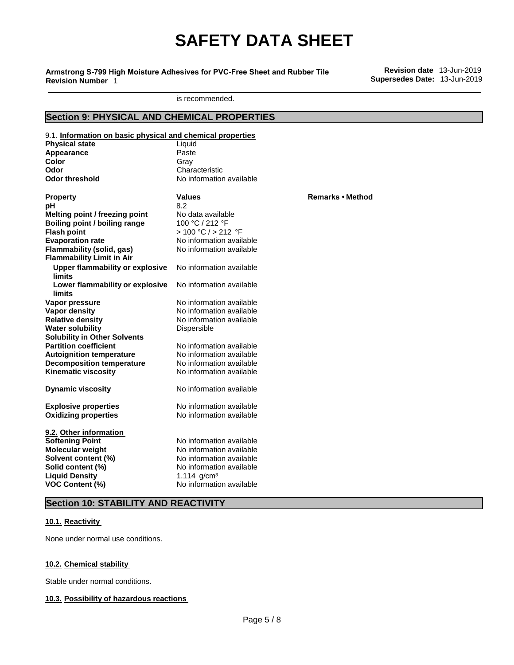**Armstrong S-799 High Moisture Adhesives for PVC-Free Sheet and Rubber Tile Revision Number** 1

**Revision date** 13-Jun-2019 **Supersedes Date:** 13-Jun-2019

is recommended.

# **Section 9: PHYSICAL AND CHEMICAL PROPERTIES**

| 9.1. Information on basic physical and chemical properties |                          |                         |
|------------------------------------------------------------|--------------------------|-------------------------|
| <b>Physical state</b>                                      | Liquid                   |                         |
| Appearance                                                 | Paste                    |                         |
| Color                                                      | Gray                     |                         |
| Odor                                                       | Characteristic           |                         |
| <b>Odor threshold</b>                                      | No information available |                         |
|                                                            |                          |                         |
| <b>Property</b>                                            | Values                   | <b>Remarks • Method</b> |
| рH                                                         | 8.2                      |                         |
| Melting point / freezing point                             | No data available        |                         |
| Boiling point / boiling range                              | 100 °C / 212 °F          |                         |
| <b>Flash point</b>                                         | > 100 °C / > 212 °F      |                         |
| <b>Evaporation rate</b>                                    | No information available |                         |
| Flammability (solid, gas)                                  | No information available |                         |
| <b>Flammability Limit in Air</b>                           |                          |                         |
| <b>Upper flammability or explosive</b>                     | No information available |                         |
| limits                                                     |                          |                         |
| Lower flammability or explosive                            | No information available |                         |
| limits                                                     |                          |                         |
| Vapor pressure                                             | No information available |                         |
| Vapor density                                              | No information available |                         |
| <b>Relative density</b>                                    | No information available |                         |
| <b>Water solubility</b>                                    | Dispersible              |                         |
| <b>Solubility in Other Solvents</b>                        |                          |                         |
| <b>Partition coefficient</b>                               | No information available |                         |
| <b>Autoignition temperature</b>                            | No information available |                         |
| <b>Decomposition temperature</b>                           | No information available |                         |
| <b>Kinematic viscosity</b>                                 | No information available |                         |
|                                                            |                          |                         |
| <b>Dynamic viscosity</b>                                   | No information available |                         |
|                                                            |                          |                         |
| <b>Explosive properties</b>                                | No information available |                         |
| <b>Oxidizing properties</b>                                | No information available |                         |
|                                                            |                          |                         |
| 9.2. Other information                                     |                          |                         |
| <b>Softening Point</b>                                     | No information available |                         |
| <b>Molecular weight</b>                                    | No information available |                         |
| Solvent content (%)                                        | No information available |                         |
| Solid content (%)                                          | No information available |                         |
| <b>Liquid Density</b>                                      | 1.114 $g/cm3$            |                         |
| <b>VOC Content (%)</b>                                     | No information available |                         |
|                                                            |                          |                         |

# **Section 10: STABILITY AND REACTIVITY**

# **10.1. Reactivity**

None under normal use conditions.

# **10.2. Chemical stability**

Stable under normal conditions.

# **10.3. Possibility of hazardous reactions**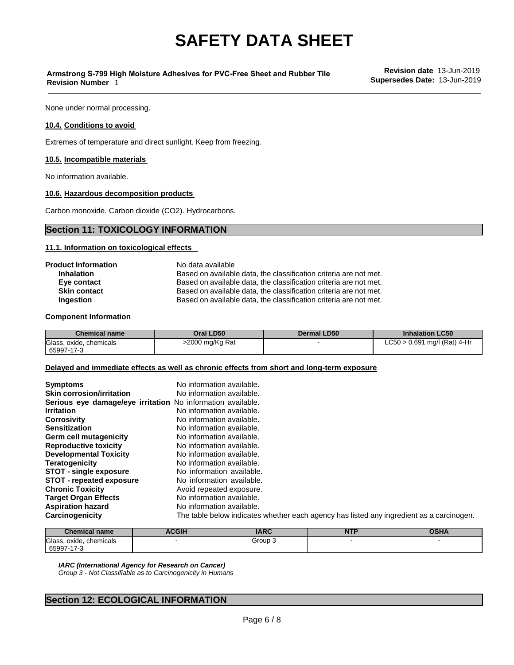# **Armstrong S-799 High Moisture Adhesives for PVC-Free Sheet and Rubber Tile Revision Number** 1

None under normal processing.

# **10.4. Conditions to avoid**

Extremes of temperature and direct sunlight. Keep from freezing.

#### **10.5. Incompatible materials**

No information available.

# **10.6. Hazardous decomposition products**

Carbon monoxide. Carbon dioxide (CO2). Hydrocarbons.

# **Section 11: TOXICOLOGY INFORMATION**

#### **11.1. Information on toxicological effects**

| No data available                                                 |
|-------------------------------------------------------------------|
| Based on available data, the classification criteria are not met. |
| Based on available data, the classification criteria are not met. |
| Based on available data, the classification criteria are not met. |
| Based on available data, the classification criteria are not met. |
|                                                                   |

#### **Component Information**

| <b>Chemical name</b>    | Oral LD50       | Dermal LD50 | <b>Inhalation LC50</b>         |
|-------------------------|-----------------|-------------|--------------------------------|
| Glass, oxide, chemicals | >2000 mg/Kg Rat |             | $LC50 > 0.691$ mg/l (Rat) 4-Hr |
| 65997-17-3              |                 |             |                                |

#### **Delayed and immediate effects as well as chronic effects from short and long-term exposure**

| <b>Symptoms</b>                                             | No information available.                                                                |
|-------------------------------------------------------------|------------------------------------------------------------------------------------------|
| <b>Skin corrosion/irritation</b>                            | No information available.                                                                |
|                                                             |                                                                                          |
| Serious eye damage/eye irritation No information available. |                                                                                          |
| <b>Irritation</b>                                           | No information available.                                                                |
| <b>Corrosivity</b>                                          | No information available.                                                                |
| <b>Sensitization</b>                                        | No information available.                                                                |
| Germ cell mutagenicity                                      | No information available.                                                                |
| <b>Reproductive toxicity</b>                                | No information available.                                                                |
| <b>Developmental Toxicity</b>                               | No information available.                                                                |
| <b>Teratogenicity</b>                                       | No information available.                                                                |
| <b>STOT - single exposure</b>                               | No information available.                                                                |
| <b>STOT - repeated exposure</b>                             | No information available.                                                                |
| <b>Chronic Toxicity</b>                                     | Avoid repeated exposure.                                                                 |
| <b>Target Organ Effects</b>                                 | No information available.                                                                |
| <b>Aspiration hazard</b>                                    | No information available.                                                                |
| Carcinogenicity                                             | The table below indicates whether each agency has listed any ingredient as a carcinogen. |

| <b>Chemical name</b>               | <b>ACGIH</b> | ADA<br>IARC | <b>NTP</b> | <b>VULLE</b> |
|------------------------------------|--------------|-------------|------------|--------------|
| Glass<br>chemicals<br>oxide<br>170 |              | Group 3     |            |              |
| 65997<br>75                        |              |             |            |              |

*IARC (International Agency for Research on Cancer) Group 3 - Not Classifiable as to Carcinogenicity in Humans*

# **Section 12: ECOLOGICAL INFORMATION**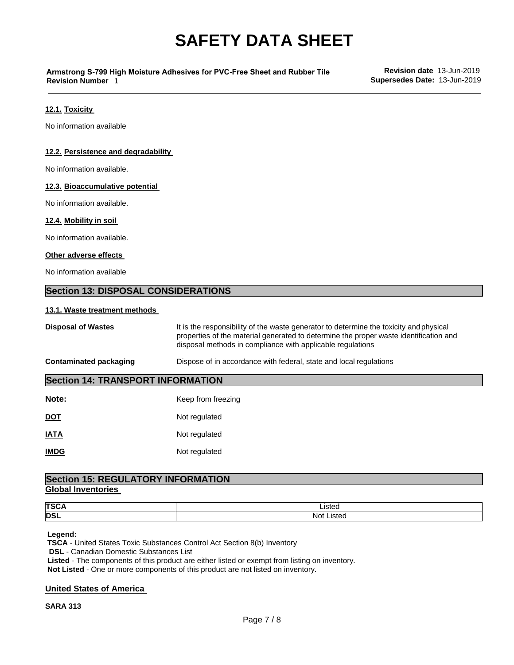# **Armstrong S-799 High Moisture Adhesives for PVC-Free Sheet and Rubber Tile Revision Number** 1

# **12.1. Toxicity**

No information available

# **12.2. Persistence and degradability**

No information available.

# **12.3. Bioaccumulative potential**

No information available.

#### **12.4. Mobility in soil**

No information available.

#### **Other adverse effects**

No information available

# **Section 13: DISPOSAL CONSIDERATIONS**

# **13.1. Waste treatment methods**

| <b>Disposal of Wastes</b>                | It is the responsibility of the waste generator to determine the toxicity and physical<br>properties of the material generated to determine the proper waste identification and<br>disposal methods in compliance with applicable regulations |  |  |  |
|------------------------------------------|-----------------------------------------------------------------------------------------------------------------------------------------------------------------------------------------------------------------------------------------------|--|--|--|
| <b>Contaminated packaging</b>            | Dispose of in accordance with federal, state and local regulations                                                                                                                                                                            |  |  |  |
| <b>Section 14: TRANSPORT INFORMATION</b> |                                                                                                                                                                                                                                               |  |  |  |
| Note:                                    | Keep from freezing                                                                                                                                                                                                                            |  |  |  |
| <u>DOT</u>                               | Not regulated                                                                                                                                                                                                                                 |  |  |  |
| <u>IATA</u>                              | Not regulated                                                                                                                                                                                                                                 |  |  |  |
| <b>IMDG</b>                              | Not regulated                                                                                                                                                                                                                                 |  |  |  |

# **Global Inventories Section 15: REGULATORY INFORMATION**

| <b>TSC.</b> | $10+$<br>_ioten_<br>.    |
|-------------|--------------------------|
| <b>DSL</b>  | No <sup>+</sup><br>ister |

# **Legend:**

**TSCA** - United States Toxic Substances Control Act Section 8(b) Inventory **DSL** - Canadian Domestic Substances List **Listed** - The components of this product are either listed or exempt from listing on inventory. **Not Listed** - One or more components of this product are not listed on inventory.

# **United States of America**

**SARA 313**